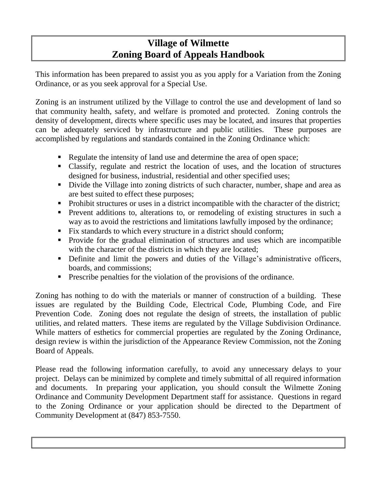# **Village of Wilmette Zoning Board of Appeals Handbook**

This information has been prepared to assist you as you apply for a Variation from the Zoning Ordinance, or as you seek approval for a Special Use.

Zoning is an instrument utilized by the Village to control the use and development of land so that community health, safety, and welfare is promoted and protected. Zoning controls the density of development, directs where specific uses may be located, and insures that properties can be adequately serviced by infrastructure and public utilities. These purposes are accomplished by regulations and standards contained in the Zoning Ordinance which:

- Regulate the intensity of land use and determine the area of open space;
- Classify, regulate and restrict the location of uses, and the location of structures designed for business, industrial, residential and other specified uses;
- Divide the Village into zoning districts of such character, number, shape and area as are best suited to effect these purposes;
- Prohibit structures or uses in a district incompatible with the character of the district;
- **Prevent additions to, alterations to, or remodeling of existing structures in such a** way as to avoid the restrictions and limitations lawfully imposed by the ordinance;
- Fix standards to which every structure in a district should conform;
- Provide for the gradual elimination of structures and uses which are incompatible with the character of the districts in which they are located;
- Definite and limit the powers and duties of the Village's administrative officers, boards, and commissions;
- **Prescribe penalties for the violation of the provisions of the ordinance.**

Zoning has nothing to do with the materials or manner of construction of a building. These issues are regulated by the Building Code, Electrical Code, Plumbing Code, and Fire Prevention Code. Zoning does not regulate the design of streets, the installation of public utilities, and related matters. These items are regulated by the Village Subdivision Ordinance. While matters of esthetics for commercial properties are regulated by the Zoning Ordinance, design review is within the jurisdiction of the Appearance Review Commission, not the Zoning Board of Appeals.

Please read the following information carefully, to avoid any unnecessary delays to your project. Delays can be minimized by complete and timely submittal of all required information and documents. In preparing your application, you should consult the Wilmette Zoning Ordinance and Community Development Department staff for assistance. Questions in regard to the Zoning Ordinance or your application should be directed to the Department of Community Development at (847) 853-7550.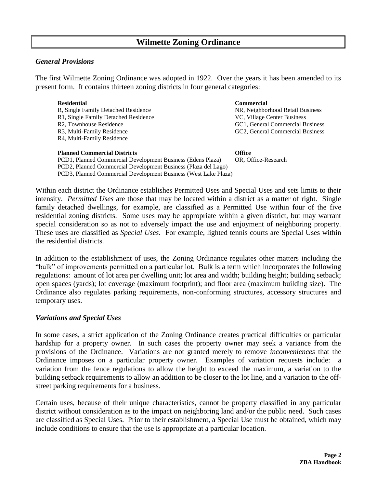#### *General Provisions*

The first Wilmette Zoning Ordinance was adopted in 1922. Over the years it has been amended to its present form. It contains thirteen zoning districts in four general categories:

| <b>Residential</b>                      | <b>Commercial</b>                |
|-----------------------------------------|----------------------------------|
| R, Single Family Detached Residence     | NR, Neighborhood Retail Business |
| R1, Single Family Detached Residence    | VC, Village Center Business      |
| R <sub>2</sub> , Townhouse Residence    | GC1, General Commercial Business |
| R <sub>3</sub> , Multi-Family Residence | GC2, General Commercial Business |
| R <sub>4</sub> , Multi-Family Residence |                                  |
|                                         |                                  |

**Planned Commercial Districts Office** PCD1, Planned Commercial Development Business (Edens Plaza) OR, Office-Research PCD2, Planned Commercial Development Business (Plaza del Lago) PCD3, Planned Commercial Development Business (West Lake Plaza)

Within each district the Ordinance establishes Permitted Uses and Special Uses and sets limits to their intensity. *Permitted Uses* are those that may be located within a district as a matter of right. Single family detached dwellings, for example, are classified as a Permitted Use within four of the five residential zoning districts. Some uses may be appropriate within a given district, but may warrant special consideration so as not to adversely impact the use and enjoyment of neighboring property. These uses are classified as *Special Uses*. For example, lighted tennis courts are Special Uses within the residential districts.

In addition to the establishment of uses, the Zoning Ordinance regulates other matters including the "bulk" of improvements permitted on a particular lot. Bulk is a term which incorporates the following regulations: amount of lot area per dwelling unit; lot area and width; building height; building setback; open spaces (yards); lot coverage (maximum footprint); and floor area (maximum building size). The Ordinance also regulates parking requirements, non-conforming structures, accessory structures and temporary uses.

#### *Variations and Special Uses*

In some cases, a strict application of the Zoning Ordinance creates practical difficulties or particular hardship for a property owner. In such cases the property owner may seek a variance from the provisions of the Ordinance. Variations are not granted merely to remove *inconveniences* that the Ordinance imposes on a particular property owner. Examples of variation requests include: a variation from the fence regulations to allow the height to exceed the maximum, a variation to the building setback requirements to allow an addition to be closer to the lot line, and a variation to the offstreet parking requirements for a business.

Certain uses, because of their unique characteristics, cannot be property classified in any particular district without consideration as to the impact on neighboring land and/or the public need. Such cases are classified as Special Uses. Prior to their establishment, a Special Use must be obtained, which may include conditions to ensure that the use is appropriate at a particular location.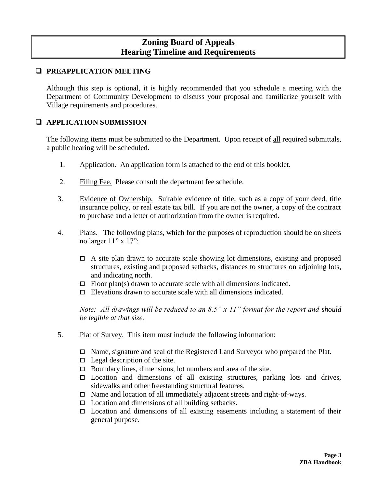## **Zoning Board of Appeals Hearing Timeline and Requirements**

## **Q** PREAPPLICATION MEETING

Although this step is optional, it is highly recommended that you schedule a meeting with the Department of Community Development to discuss your proposal and familiarize yourself with Village requirements and procedures.

## **APPLICATION SUBMISSION**

The following items must be submitted to the Department. Upon receipt of all required submittals, a public hearing will be scheduled.

- 1. Application. An application form is attached to the end of this booklet.
- 2. Filing Fee. Please consult the department fee schedule.
- 3. Evidence of Ownership. Suitable evidence of title, such as a copy of your deed, title insurance policy, or real estate tax bill. If you are not the owner, a copy of the contract to purchase and a letter of authorization from the owner is required.
- 4. Plans. The following plans, which for the purposes of reproduction should be on sheets no larger 11" x 17":
	- $\Box$  A site plan drawn to accurate scale showing lot dimensions, existing and proposed structures, existing and proposed setbacks, distances to structures on adjoining lots, and indicating north.
	- $\Box$  Floor plan(s) drawn to accurate scale with all dimensions indicated.
	- $\Box$  Elevations drawn to accurate scale with all dimensions indicated.

*Note: All drawings will be reduced to an 8.5" x 11" format for the report and should be legible at that size.*

- 5. Plat of Survey. This item must include the following information:
	- □ Name, signature and seal of the Registered Land Surveyor who prepared the Plat.
	- $\Box$  Legal description of the site.
	- $\Box$  Boundary lines, dimensions, lot numbers and area of the site.
	- $\Box$  Location and dimensions of all existing structures, parking lots and drives, sidewalks and other freestanding structural features.
	- $\Box$  Name and location of all immediately adjacent streets and right-of-ways.
	- $\Box$  Location and dimensions of all building setbacks.
	- $\Box$  Location and dimensions of all existing easements including a statement of their general purpose.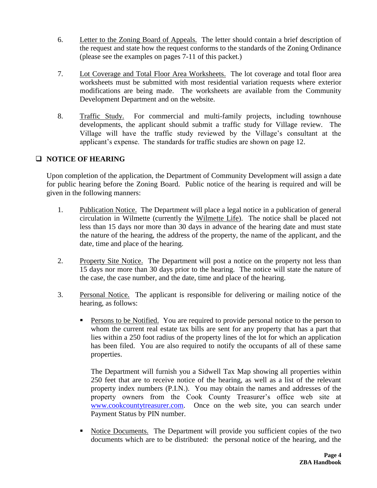- 6. Letter to the Zoning Board of Appeals. The letter should contain a brief description of the request and state how the request conforms to the standards of the Zoning Ordinance (please see the examples on pages 7-11 of this packet.)
- 7. Lot Coverage and Total Floor Area Worksheets. The lot coverage and total floor area worksheets must be submitted with most residential variation requests where exterior modifications are being made. The worksheets are available from the Community Development Department and on the website.
- 8. Traffic Study. For commercial and multi-family projects, including townhouse developments, the applicant should submit a traffic study for Village review. The Village will have the traffic study reviewed by the Village's consultant at the applicant's expense. The standards for traffic studies are shown on page 12.

## **NOTICE OF HEARING**

Upon completion of the application, the Department of Community Development will assign a date for public hearing before the Zoning Board. Public notice of the hearing is required and will be given in the following manners:

- 1. Publication Notice. The Department will place a legal notice in a publication of general circulation in Wilmette (currently the Wilmette Life). The notice shall be placed not less than 15 days nor more than 30 days in advance of the hearing date and must state the nature of the hearing, the address of the property, the name of the applicant, and the date, time and place of the hearing.
- 2. Property Site Notice. The Department will post a notice on the property not less than 15 days nor more than 30 days prior to the hearing. The notice will state the nature of the case, the case number, and the date, time and place of the hearing.
- 3. Personal Notice. The applicant is responsible for delivering or mailing notice of the hearing, as follows:
	- **Persons to be Notified.** You are required to provide personal notice to the person to whom the current real estate tax bills are sent for any property that has a part that lies within a 250 foot radius of the property lines of the lot for which an application has been filed. You are also required to notify the occupants of all of these same properties.

The Department will furnish you a Sidwell Tax Map showing all properties within 250 feet that are to receive notice of the hearing, as well as a list of the relevant property index numbers (P.I.N.). You may obtain the names and addresses of the property owners from the Cook County Treasurer's office web site at [www.cookcountytreasurer.com.](http://www.cookcountytreasurer.com/) Once on the web site, you can search under Payment Status by PIN number.

 Notice Documents. The Department will provide you sufficient copies of the two documents which are to be distributed: the personal notice of the hearing, and the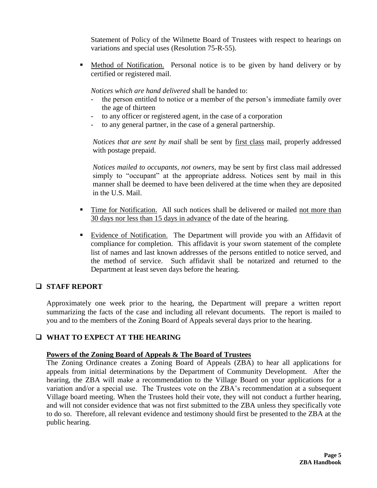Statement of Policy of the Wilmette Board of Trustees with respect to hearings on variations and special uses (Resolution 75-R-55).

 Method of Notification. Personal notice is to be given by hand delivery or by certified or registered mail.

*Notices which are hand delivered* shall be handed to:

- the person entitled to notice or a member of the person's immediate family over the age of thirteen
- to any officer or registered agent, in the case of a corporation
- to any general partner, in the case of a general partnership.

*Notices that are sent by mail* shall be sent by first class mail, properly addressed with postage prepaid.

*Notices mailed to occupants, not owners,* may be sent by first class mail addressed simply to "occupant" at the appropriate address. Notices sent by mail in this manner shall be deemed to have been delivered at the time when they are deposited in the U.S. Mail.

- Time for Notification. All such notices shall be delivered or mailed not more than 30 days nor less than 15 days in advance of the date of the hearing.
- Evidence of Notification. The Department will provide you with an Affidavit of compliance for completion. This affidavit is your sworn statement of the complete list of names and last known addresses of the persons entitled to notice served, and the method of service. Such affidavit shall be notarized and returned to the Department at least seven days before the hearing.

## **STAFF REPORT**

Approximately one week prior to the hearing, the Department will prepare a written report summarizing the facts of the case and including all relevant documents. The report is mailed to you and to the members of the Zoning Board of Appeals several days prior to the hearing.

## **WHAT TO EXPECT AT THE HEARING**

#### **Powers of the Zoning Board of Appeals & The Board of Trustees**

The Zoning Ordinance creates a Zoning Board of Appeals (ZBA) to hear all applications for appeals from initial determinations by the Department of Community Development. After the hearing, the ZBA will make a recommendation to the Village Board on your applications for a variation and/or a special use. The Trustees vote on the ZBA's recommendation at a subsequent Village board meeting. When the Trustees hold their vote, they will not conduct a further hearing, and will not consider evidence that was not first submitted to the ZBA unless they specifically vote to do so. Therefore, all relevant evidence and testimony should first be presented to the ZBA at the public hearing.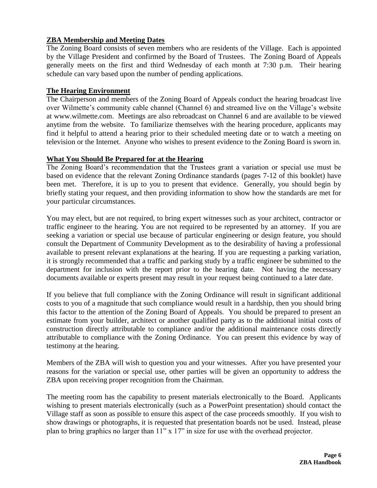#### **ZBA Membership and Meeting Dates**

The Zoning Board consists of seven members who are residents of the Village. Each is appointed by the Village President and confirmed by the Board of Trustees. The Zoning Board of Appeals generally meets on the first and third Wednesday of each month at 7:30 p.m. Their hearing schedule can vary based upon the number of pending applications.

#### **The Hearing Environment**

The Chairperson and members of the Zoning Board of Appeals conduct the hearing broadcast live over Wilmette's community cable channel (Channel 6) and streamed live on the Village's website at www.wilmette.com. Meetings are also rebroadcast on Channel 6 and are available to be viewed anytime from the website. To familiarize themselves with the hearing procedure, applicants may find it helpful to attend a hearing prior to their scheduled meeting date or to watch a meeting on television or the Internet. Anyone who wishes to present evidence to the Zoning Board is sworn in.

#### **What You Should Be Prepared for at the Hearing**

The Zoning Board's recommendation that the Trustees grant a variation or special use must be based on evidence that the relevant Zoning Ordinance standards (pages 7-12 of this booklet) have been met. Therefore, it is up to you to present that evidence. Generally, you should begin by briefly stating your request, and then providing information to show how the standards are met for your particular circumstances.

You may elect, but are not required, to bring expert witnesses such as your architect, contractor or traffic engineer to the hearing. You are not required to be represented by an attorney. If you are seeking a variation or special use because of particular engineering or design feature, you should consult the Department of Community Development as to the desirability of having a professional available to present relevant explanations at the hearing. If you are requesting a parking variation, it is strongly recommended that a traffic and parking study by a traffic engineer be submitted to the department for inclusion with the report prior to the hearing date. Not having the necessary documents available or experts present may result in your request being continued to a later date.

If you believe that full compliance with the Zoning Ordinance will result in significant additional costs to you of a magnitude that such compliance would result in a hardship, then you should bring this factor to the attention of the Zoning Board of Appeals. You should be prepared to present an estimate from your builder, architect or another qualified party as to the additional initial costs of construction directly attributable to compliance and/or the additional maintenance costs directly attributable to compliance with the Zoning Ordinance. You can present this evidence by way of testimony at the hearing.

Members of the ZBA will wish to question you and your witnesses. After you have presented your reasons for the variation or special use, other parties will be given an opportunity to address the ZBA upon receiving proper recognition from the Chairman.

The meeting room has the capability to present materials electronically to the Board. Applicants wishing to present materials electronically (such as a PowerPoint presentation) should contact the Village staff as soon as possible to ensure this aspect of the case proceeds smoothly. If you wish to show drawings or photographs, it is requested that presentation boards not be used. Instead, please plan to bring graphics no larger than 11" x 17" in size for use with the overhead projector.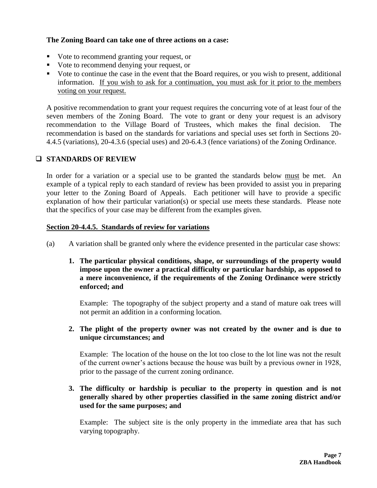#### **The Zoning Board can take one of three actions on a case:**

- Vote to recommend granting your request, or
- Vote to recommend denying your request, or
- Vote to continue the case in the event that the Board requires, or you wish to present, additional information. If you wish to ask for a continuation, you must ask for it prior to the members voting on your request.

A positive recommendation to grant your request requires the concurring vote of at least four of the seven members of the Zoning Board. The vote to grant or deny your request is an advisory recommendation to the Village Board of Trustees, which makes the final decision. The recommendation is based on the standards for variations and special uses set forth in Sections 20- 4.4.5 (variations), 20-4.3.6 (special uses) and 20-6.4.3 (fence variations) of the Zoning Ordinance.

## **STANDARDS OF REVIEW**

In order for a variation or a special use to be granted the standards below must be met. An example of a typical reply to each standard of review has been provided to assist you in preparing your letter to the Zoning Board of Appeals. Each petitioner will have to provide a specific explanation of how their particular variation(s) or special use meets these standards. Please note that the specifics of your case may be different from the examples given.

#### **Section 20-4.4.5. Standards of review for variations**

- (a) A variation shall be granted only where the evidence presented in the particular case shows:
	- **1. The particular physical conditions, shape, or surroundings of the property would impose upon the owner a practical difficulty or particular hardship, as opposed to a mere inconvenience, if the requirements of the Zoning Ordinance were strictly enforced; and**

Example: The topography of the subject property and a stand of mature oak trees will not permit an addition in a conforming location.

**2. The plight of the property owner was not created by the owner and is due to unique circumstances; and**

Example: The location of the house on the lot too close to the lot line was not the result of the current owner's actions because the house was built by a previous owner in 1928, prior to the passage of the current zoning ordinance.

## **3. The difficulty or hardship is peculiar to the property in question and is not generally shared by other properties classified in the same zoning district and/or used for the same purposes; and**

Example: The subject site is the only property in the immediate area that has such varying topography.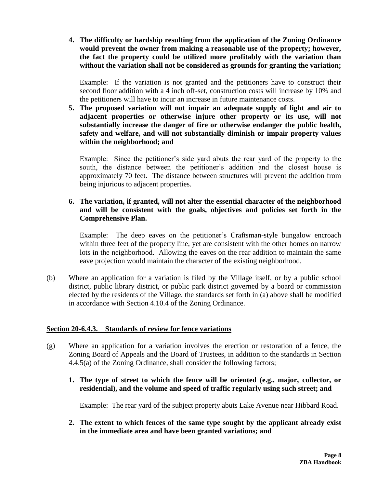**4. The difficulty or hardship resulting from the application of the Zoning Ordinance would prevent the owner from making a reasonable use of the property; however, the fact the property could be utilized more profitably with the variation than without the variation shall not be considered as grounds for granting the variation;**

Example: If the variation is not granted and the petitioners have to construct their second floor addition with a 4 inch off-set, construction costs will increase by 10% and the petitioners will have to incur an increase in future maintenance costs.

**5. The proposed variation will not impair an adequate supply of light and air to adjacent properties or otherwise injure other property or its use, will not substantially increase the danger of fire or otherwise endanger the public health, safety and welfare, and will not substantially diminish or impair property values within the neighborhood; and**

Example: Since the petitioner's side yard abuts the rear yard of the property to the south, the distance between the petitioner's addition and the closest house is approximately 70 feet. The distance between structures will prevent the addition from being injurious to adjacent properties.

#### **6. The variation, if granted, will not alter the essential character of the neighborhood and will be consistent with the goals, objectives and policies set forth in the Comprehensive Plan.**

Example: The deep eaves on the petitioner's Craftsman-style bungalow encroach within three feet of the property line, yet are consistent with the other homes on narrow lots in the neighborhood. Allowing the eaves on the rear addition to maintain the same eave projection would maintain the character of the existing neighborhood.

(b) Where an application for a variation is filed by the Village itself, or by a public school district, public library district, or public park district governed by a board or commission elected by the residents of the Village, the standards set forth in (a) above shall be modified in accordance with Section 4.10.4 of the Zoning Ordinance.

#### **Section 20-6.4.3. Standards of review for fence variations**

- (g) Where an application for a variation involves the erection or restoration of a fence, the Zoning Board of Appeals and the Board of Trustees, in addition to the standards in Section 4.4.5(a) of the Zoning Ordinance, shall consider the following factors;
	- **1. The type of street to which the fence will be oriented (e.g., major, collector, or residential), and the volume and speed of traffic regularly using such street; and**

Example: The rear yard of the subject property abuts Lake Avenue near Hibbard Road.

**2. The extent to which fences of the same type sought by the applicant already exist in the immediate area and have been granted variations; and**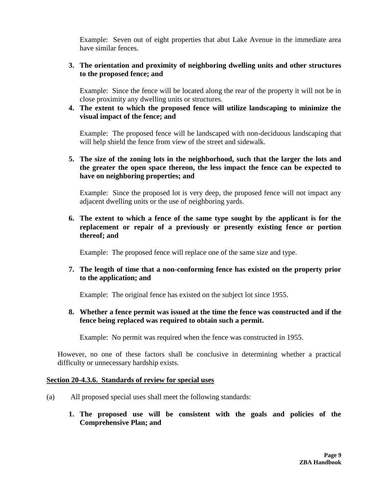Example: Seven out of eight properties that abut Lake Avenue in the immediate area have similar fences.

#### **3. The orientation and proximity of neighboring dwelling units and other structures to the proposed fence; and**

Example: Since the fence will be located along the rear of the property it will not be in close proximity any dwelling units or structures.

**4. The extent to which the proposed fence will utilize landscaping to minimize the visual impact of the fence; and**

Example: The proposed fence will be landscaped with non-deciduous landscaping that will help shield the fence from view of the street and sidewalk.

## **5. The size of the zoning lots in the neighborhood, such that the larger the lots and the greater the open space thereon, the less impact the fence can be expected to have on neighboring properties; and**

Example: Since the proposed lot is very deep, the proposed fence will not impact any adjacent dwelling units or the use of neighboring yards.

**6. The extent to which a fence of the same type sought by the applicant is for the replacement or repair of a previously or presently existing fence or portion thereof; and**

Example: The proposed fence will replace one of the same size and type.

**7. The length of time that a non-conforming fence has existed on the property prior to the application; and**

Example: The original fence has existed on the subject lot since 1955.

**8. Whether a fence permit was issued at the time the fence was constructed and if the fence being replaced was required to obtain such a permit.**

Example: No permit was required when the fence was constructed in 1955.

However, no one of these factors shall be conclusive in determining whether a practical difficulty or unnecessary hardship exists.

#### **Section 20-4.3.6. Standards of review for special uses**

- (a) All proposed special uses shall meet the following standards:
	- **1. The proposed use will be consistent with the goals and policies of the Comprehensive Plan; and**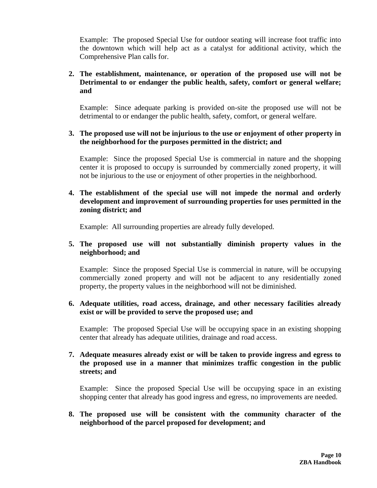Example: The proposed Special Use for outdoor seating will increase foot traffic into the downtown which will help act as a catalyst for additional activity, which the Comprehensive Plan calls for.

## **2. The establishment, maintenance, or operation of the proposed use will not be Detrimental to or endanger the public health, safety, comfort or general welfare; and**

Example: Since adequate parking is provided on-site the proposed use will not be detrimental to or endanger the public health, safety, comfort, or general welfare.

#### **3. The proposed use will not be injurious to the use or enjoyment of other property in the neighborhood for the purposes permitted in the district; and**

Example: Since the proposed Special Use is commercial in nature and the shopping center it is proposed to occupy is surrounded by commercially zoned property, it will not be injurious to the use or enjoyment of other properties in the neighborhood.

#### **4. The establishment of the special use will not impede the normal and orderly development and improvement of surrounding properties for uses permitted in the zoning district; and**

Example: All surrounding properties are already fully developed.

## **5. The proposed use will not substantially diminish property values in the neighborhood; and**

Example: Since the proposed Special Use is commercial in nature, will be occupying commercially zoned property and will not be adjacent to any residentially zoned property, the property values in the neighborhood will not be diminished.

#### **6. Adequate utilities, road access, drainage, and other necessary facilities already exist or will be provided to serve the proposed use; and**

Example: The proposed Special Use will be occupying space in an existing shopping center that already has adequate utilities, drainage and road access.

#### **7. Adequate measures already exist or will be taken to provide ingress and egress to the proposed use in a manner that minimizes traffic congestion in the public streets; and**

Example: Since the proposed Special Use will be occupying space in an existing shopping center that already has good ingress and egress, no improvements are needed.

## **8. The proposed use will be consistent with the community character of the neighborhood of the parcel proposed for development; and**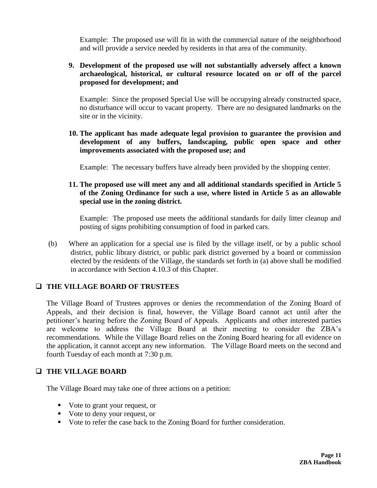Example: The proposed use will fit in with the commercial nature of the neighborhood and will provide a service needed by residents in that area of the community.

## **9. Development of the proposed use will not substantially adversely affect a known archaeological, historical, or cultural resource located on or off of the parcel proposed for development; and**

Example: Since the proposed Special Use will be occupying already constructed space, no disturbance will occur to vacant property. There are no designated landmarks on the site or in the vicinity.

## **10. The applicant has made adequate legal provision to guarantee the provision and development of any buffers, landscaping, public open space and other improvements associated with the proposed use; and**

Example: The necessary buffers have already been provided by the shopping center.

## **11. The proposed use will meet any and all additional standards specified in Article 5 of the Zoning Ordinance for such a use, where listed in Article 5 as an allowable special use in the zoning district.**

Example: The proposed use meets the additional standards for daily litter cleanup and posting of signs prohibiting consumption of food in parked cars.

(b) Where an application for a special use is filed by the village itself, or by a public school district, public library district, or public park district governed by a board or commission elected by the residents of the Village, the standards set forth in (a) above shall be modified in accordance with Section 4.10.3 of this Chapter.

## **THE VILLAGE BOARD OF TRUSTEES**

The Village Board of Trustees approves or denies the recommendation of the Zoning Board of Appeals, and their decision is final, however, the Village Board cannot act until after the petitioner's hearing before the Zoning Board of Appeals. Applicants and other interested parties are welcome to address the Village Board at their meeting to consider the ZBA's recommendations. While the Village Board relies on the Zoning Board hearing for all evidence on the application, it cannot accept any new information. The Village Board meets on the second and fourth Tuesday of each month at 7:30 p.m.

## **THE VILLAGE BOARD**

The Village Board may take one of three actions on a petition:

- Vote to grant your request, or
- Vote to deny your request, or
- Vote to refer the case back to the Zoning Board for further consideration.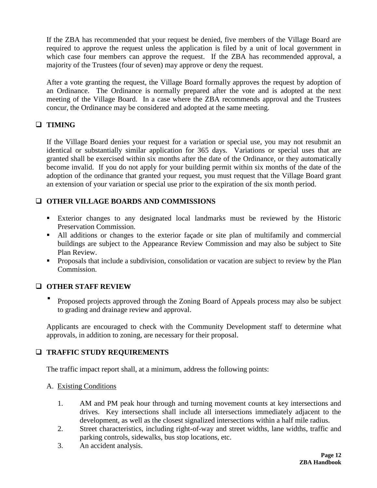If the ZBA has recommended that your request be denied, five members of the Village Board are required to approve the request unless the application is filed by a unit of local government in which case four members can approve the request. If the ZBA has recommended approval, a majority of the Trustees (four of seven) may approve or deny the request.

After a vote granting the request, the Village Board formally approves the request by adoption of an Ordinance. The Ordinance is normally prepared after the vote and is adopted at the next meeting of the Village Board. In a case where the ZBA recommends approval and the Trustees concur, the Ordinance may be considered and adopted at the same meeting.

## **TIMING**

If the Village Board denies your request for a variation or special use, you may not resubmit an identical or substantially similar application for 365 days. Variations or special uses that are granted shall be exercised within six months after the date of the Ordinance, or they automatically become invalid. If you do not apply for your building permit within six months of the date of the adoption of the ordinance that granted your request, you must request that the Village Board grant an extension of your variation or special use prior to the expiration of the six month period.

## **OTHER VILLAGE BOARDS AND COMMISSIONS**

- Exterior changes to any designated local landmarks must be reviewed by the Historic Preservation Commission.
- All additions or changes to the exterior façade or site plan of multifamily and commercial buildings are subject to the Appearance Review Commission and may also be subject to Site Plan Review.
- **Proposals that include a subdivision, consolidation or vacation are subject to review by the Plan** Commission.

## **OTHER STAFF REVIEW**

 Proposed projects approved through the Zoning Board of Appeals process may also be subject to grading and drainage review and approval.

Applicants are encouraged to check with the Community Development staff to determine what approvals, in addition to zoning, are necessary for their proposal.

## **TRAFFIC STUDY REQUIREMENTS**

The traffic impact report shall, at a minimum, address the following points:

#### A. Existing Conditions

- 1. AM and PM peak hour through and turning movement counts at key intersections and drives. Key intersections shall include all intersections immediately adjacent to the development, as well as the closest signalized intersections within a half mile radius.
- 2. Street characteristics, including right-of-way and street widths, lane widths, traffic and parking controls, sidewalks, bus stop locations, etc.
- 3. An accident analysis.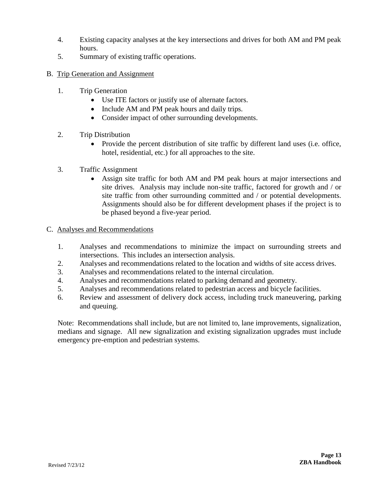- 4. Existing capacity analyses at the key intersections and drives for both AM and PM peak hours.
- 5. Summary of existing traffic operations.
- B. Trip Generation and Assignment
	- 1. Trip Generation
		- Use ITE factors or justify use of alternate factors.
		- Include AM and PM peak hours and daily trips.
		- Consider impact of other surrounding developments.
	- 2. Trip Distribution
		- Provide the percent distribution of site traffic by different land uses (i.e. office, hotel, residential, etc.) for all approaches to the site.
	- 3. Traffic Assignment
		- Assign site traffic for both AM and PM peak hours at major intersections and site drives. Analysis may include non-site traffic, factored for growth and / or site traffic from other surrounding committed and / or potential developments. Assignments should also be for different development phases if the project is to be phased beyond a five-year period.
- C. Analyses and Recommendations
	- 1. Analyses and recommendations to minimize the impact on surrounding streets and intersections. This includes an intersection analysis.
	- 2. Analyses and recommendations related to the location and widths of site access drives.
	- 3. Analyses and recommendations related to the internal circulation.
	- 4. Analyses and recommendations related to parking demand and geometry.
	- 5. Analyses and recommendations related to pedestrian access and bicycle facilities.
	- 6. Review and assessment of delivery dock access, including truck maneuvering, parking and queuing.

Note: Recommendations shall include, but are not limited to, lane improvements, signalization, medians and signage. All new signalization and existing signalization upgrades must include emergency pre-emption and pedestrian systems.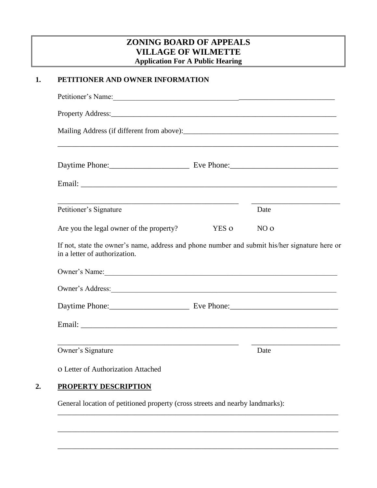## **ZONING BOARD OF APPEALS VILLAGE OF WILMETTE Application For A Public Hearing**

## **1. PETITIONER AND OWNER INFORMATION**

| Petitioner's Signature                                                                                                                                                                                                         |       | Date            |
|--------------------------------------------------------------------------------------------------------------------------------------------------------------------------------------------------------------------------------|-------|-----------------|
| Are you the legal owner of the property?                                                                                                                                                                                       | YES O | NO <sub>0</sub> |
| If not, state the owner's name, address and phone number and submit his/her signature here or<br>in a letter of authorization.                                                                                                 |       |                 |
| Owner's Name:                                                                                                                                                                                                                  |       |                 |
|                                                                                                                                                                                                                                |       |                 |
| Owner's Address: New York Changes and School Changes and School Changes and School Changes and School Changes and School Changes and School Changes and School Changes and School Changes and School Changes and School Change |       |                 |
|                                                                                                                                                                                                                                |       |                 |

General location of petitioned property (cross streets and nearby landmarks):

\_\_\_\_\_\_\_\_\_\_\_\_\_\_\_\_\_\_\_\_\_\_\_\_\_\_\_\_\_\_\_\_\_\_\_\_\_\_\_\_\_\_\_\_\_\_\_\_\_\_\_\_\_\_\_\_\_\_\_\_\_\_\_\_\_\_\_\_\_\_\_\_\_\_\_\_

\_\_\_\_\_\_\_\_\_\_\_\_\_\_\_\_\_\_\_\_\_\_\_\_\_\_\_\_\_\_\_\_\_\_\_\_\_\_\_\_\_\_\_\_\_\_\_\_\_\_\_\_\_\_\_\_\_\_\_\_\_\_\_\_\_\_\_\_\_\_\_\_\_\_\_\_

\_\_\_\_\_\_\_\_\_\_\_\_\_\_\_\_\_\_\_\_\_\_\_\_\_\_\_\_\_\_\_\_\_\_\_\_\_\_\_\_\_\_\_\_\_\_\_\_\_\_\_\_\_\_\_\_\_\_\_\_\_\_\_\_\_\_\_\_\_\_\_\_\_\_\_\_